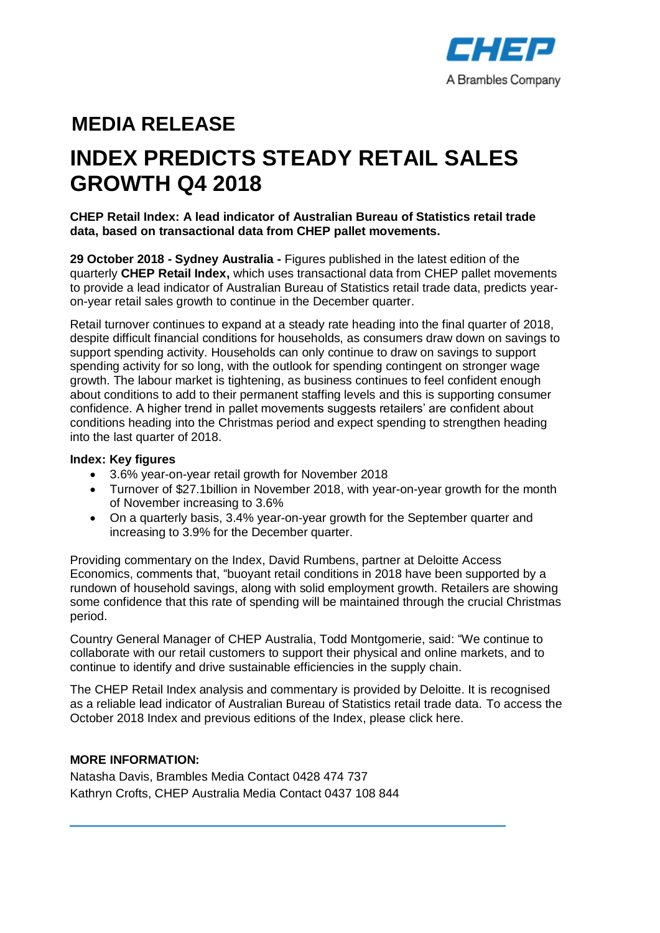

# **MEDIA RELEASE**

# **INDEX PREDICTS STEADY RETAIL SALES GROWTH Q4 2018**

**CHEP Retail Index: A lead indicator of Australian Bureau of Statistics retail trade data, based on transactional data from CHEP pallet movements.**

**29 October 2018 - Sydney Australia -** Figures published in the latest edition of the quarterly **CHEP Retail Index,** which uses transactional data from CHEP pallet movements to provide a lead indicator of Australian Bureau of Statistics retail trade data, predicts yearon-year retail sales growth to continue in the December quarter.

Retail turnover continues to expand at a steady rate heading into the final quarter of 2018, despite difficult financial conditions for households, as consumers draw down on savings to support spending activity. Households can only continue to draw on savings to support spending activity for so long, with the outlook for spending contingent on stronger wage growth. The labour market is tightening, as business continues to feel confident enough about conditions to add to their permanent staffing levels and this is supporting consumer confidence. A higher trend in pallet movements suggests retailers' are confident about conditions heading into the Christmas period and expect spending to strengthen heading into the last quarter of 2018.

#### **Index: Key figures**

- 3.6% year-on-year retail growth for November 2018
- Turnover of \$27.1billion in November 2018, with year-on-year growth for the month of November increasing to 3.6%
- On a quarterly basis, 3.4% year-on-year growth for the September quarter and increasing to 3.9% for the December quarter.

Providing commentary on the Index, David Rumbens, partner at Deloitte Access Economics, comments that, "buoyant retail conditions in 2018 have been supported by a rundown of household savings, along with solid employment growth. Retailers are showing some confidence that this rate of spending will be maintained through the crucial Christmas period.

Country General Manager of CHEP Australia, Todd Montgomerie, said: "We continue to collaborate with our retail customers to support their physical and online markets, and to continue to identify and drive sustainable efficiencies in the supply chain.

The CHEP Retail Index analysis and commentary is provided by Deloitte. It is recognised as a reliable lead indicator of Australian Bureau of Statistics retail trade data. To access the October 2018 Index and previous editions of the Index, please click here.

## **MORE INFORMATION:**

Natasha Davis, Brambles Media Contact 0428 474 737 Kathryn Crofts, CHEP Australia Media Contact 0437 108 844